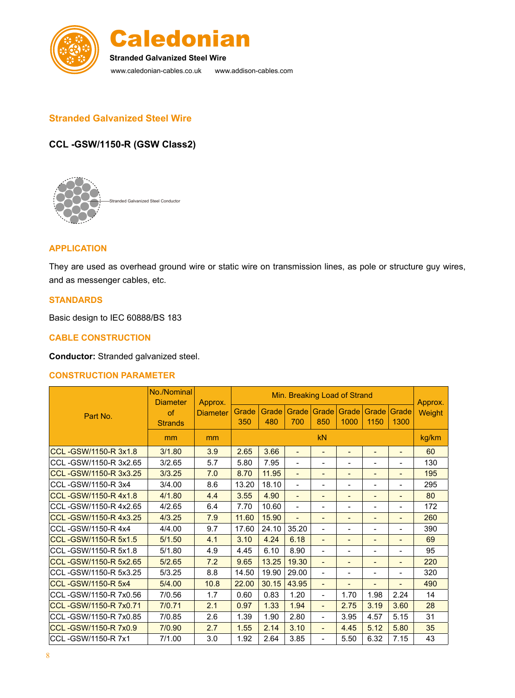



www.caledonian-cables.co.uk www.addison-cables.com **Stranded Galvanized Steel Wire**

## **Stranded Galvanized Steel Wire**

# **CCL -GSW/1150-R (GSW Class2)**



### **APPLICATION**

They are used as overhead ground wire or static wire on transmission lines, as pole or structure guy wires, and as messenger cables, etc.

#### **STANDARDS**

Basic design to IEC 60888/BS 183

#### **CABLE CONSTRUCTION**

**Conductor:** Stranded galvanized steel.

#### **CONSTRUCTION PARAMETER**

| Part No.                  | No./Nominal<br><b>Diameter</b> | Approx.<br><b>Diameter</b> | Min. Breaking Load of Strand |              |                              |                              |                              |                              |                              | Approx. |
|---------------------------|--------------------------------|----------------------------|------------------------------|--------------|------------------------------|------------------------------|------------------------------|------------------------------|------------------------------|---------|
|                           | of<br><b>Strands</b>           |                            | Grade<br>350                 | Grade<br>480 | Grade  <br>700               | Grade<br>850                 | Grade<br>1000                | Grade<br>1150                | Grade<br>1300                | Weight  |
|                           | mm                             | mm                         | <b>kN</b>                    |              |                              |                              |                              |                              | kg/km                        |         |
| CCL-GSW/1150-R 3x1.8      | 3/1.80                         | 3.9                        | 2.65                         | 3.66         | $\qquad \qquad \blacksquare$ | $\qquad \qquad \blacksquare$ | -                            | $\overline{\phantom{0}}$     | $\overline{\phantom{0}}$     | 60      |
| CCL-GSW/1150-R 3x2.65     | 3/2.65                         | 5.7                        | 5.80                         | 7.95         | $\blacksquare$               | $\qquad \qquad \blacksquare$ | -                            | $\blacksquare$               | -                            | 130     |
| CCL-GSW/1150-R 3x3.25     | 3/3.25                         | 7.0                        | 8.70                         | 11.95        | $\overline{\phantom{a}}$     | $\blacksquare$               | $\qquad \qquad \blacksquare$ | $\blacksquare$               | -                            | 195     |
| CCL-GSW/1150-R 3x4        | 3/4.00                         | 8.6                        | 13.20                        | 18.10        | $\overline{a}$               |                              | Ξ.                           | ۰                            |                              | 295     |
| CCL-GSW/1150-R4x1.8       | 4/1.80                         | 4.4                        | 3.55                         | 4.90         | $\qquad \qquad \blacksquare$ | ٠                            | ٠                            | $\overline{a}$               |                              | 80      |
| CCL-GSW/1150-R 4x2.65     | 4/2.65                         | 6.4                        | 7.70                         | 10.60        | $\overline{\phantom{a}}$     | $\blacksquare$               | $\qquad \qquad \blacksquare$ | $\blacksquare$               | $\qquad \qquad \blacksquare$ | 172     |
| CCL-GSW/1150-R4x3.25      | 4/3.25                         | 7.9                        | 11.60                        | 15.90        | $\qquad \qquad \blacksquare$ | $\blacksquare$               | $\qquad \qquad \blacksquare$ | ٠                            | $\overline{\phantom{a}}$     | 260     |
| CCL-GSW/1150-R4x4         | 4/4.00                         | 9.7                        | 17.60                        | 24.10        | 35.20                        | $\blacksquare$               | $\qquad \qquad \blacksquare$ | $\blacksquare$               | Ξ.                           | 390     |
| CCL-GSW/1150-R 5x1.5      | 5/1.50                         | 4.1                        | 3.10                         | 4.24         | 6.18                         |                              | -                            |                              |                              | 69      |
| CCL-GSW/1150-R 5x1.8      | 5/1.80                         | 4.9                        | 4.45                         | 6.10         | 8.90                         | $\overline{\phantom{0}}$     | -                            | $\overline{\phantom{0}}$     |                              | 95      |
| CCL-GSW/1150-R 5x2.65     | 5/2.65                         | 7.2                        | 9.65                         | 13.25        | 19.30                        | $\overline{\phantom{a}}$     | -                            | $\overline{\phantom{0}}$     | $\overline{\phantom{0}}$     | 220     |
| CCL-GSW/1150-R 5x3.25     | 5/3.25                         | 8.8                        | 14.50                        | 19.90        | 29.00                        | $\blacksquare$               | $\overline{\phantom{a}}$     | $\overline{\phantom{0}}$     | $\qquad \qquad \blacksquare$ | 320     |
| <b>CCL-GSW/1150-R 5x4</b> | 5/4.00                         | 10.8                       | 22.00                        | 30.15        | 43.95                        | $\blacksquare$               | -                            | $\qquad \qquad \blacksquare$ | $\overline{\phantom{0}}$     | 490     |
| CCL-GSW/1150-R 7x0.56     | 7/0.56                         | 1.7                        | 0.60                         | 0.83         | 1.20                         | $\blacksquare$               | 1.70                         | 1.98                         | 2.24                         | 14      |
| CCL-GSW/1150-R 7x0.71     | 7/0.71                         | 2.1                        | 0.97                         | 1.33         | 1.94                         | $\blacksquare$               | 2.75                         | 3.19                         | 3.60                         | 28      |
| CCL-GSW/1150-R 7x0.85     | 7/0.85                         | 2.6                        | 1.39                         | 1.90         | 2.80                         | $\overline{\phantom{0}}$     | 3.95                         | 4.57                         | 5.15                         | 31      |
| CCL-GSW/1150-R 7x0.9      | 7/0.90                         | 2.7                        | 1.55                         | 2.14         | 3.10                         | $\blacksquare$               | 4.45                         | 5.12                         | 5.80                         | 35      |
| CCL-GSW/1150-R 7x1        | 7/1.00                         | 3.0                        | 1.92                         | 2.64         | 3.85                         | $\overline{a}$               | 5.50                         | 6.32                         | 7.15                         | 43      |